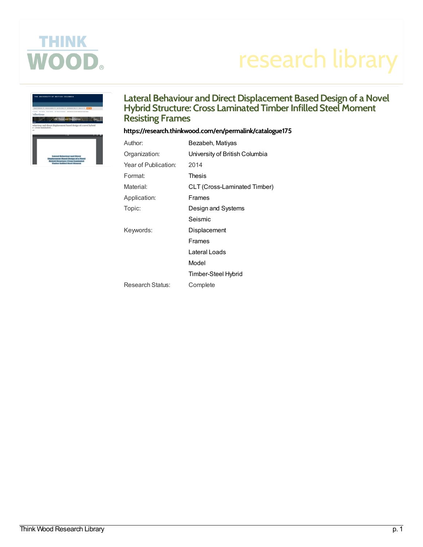

# research library



# Lateral Behaviour and Direct Displacement Based Design of a Novel Eateral Benaviour and Birect Bisplacement Based Besign of a no<br>Hybrid Structure: Cross Laminated Timber Infilled Steel Moment **Resisting Frames**

## <https://research.thinkwood.com/en/permalink/catalogue175>

| Author:              | Bezabeh, Matiyas               |
|----------------------|--------------------------------|
| Organization:        | University of British Columbia |
| Year of Publication: | 2014                           |
| Format:              | Thesis                         |
| Material:            | CLT (Cross-Laminated Timber)   |
| Application:         | Frames                         |
| Topic:               | Design and Systems             |
|                      | Seismic                        |
| Keywords:            | Displacement                   |
|                      | Frames                         |
|                      | Lateral Loads                  |
|                      | Model                          |
|                      | Timber-Steel Hybrid            |
| Research Status:     | Complete                       |